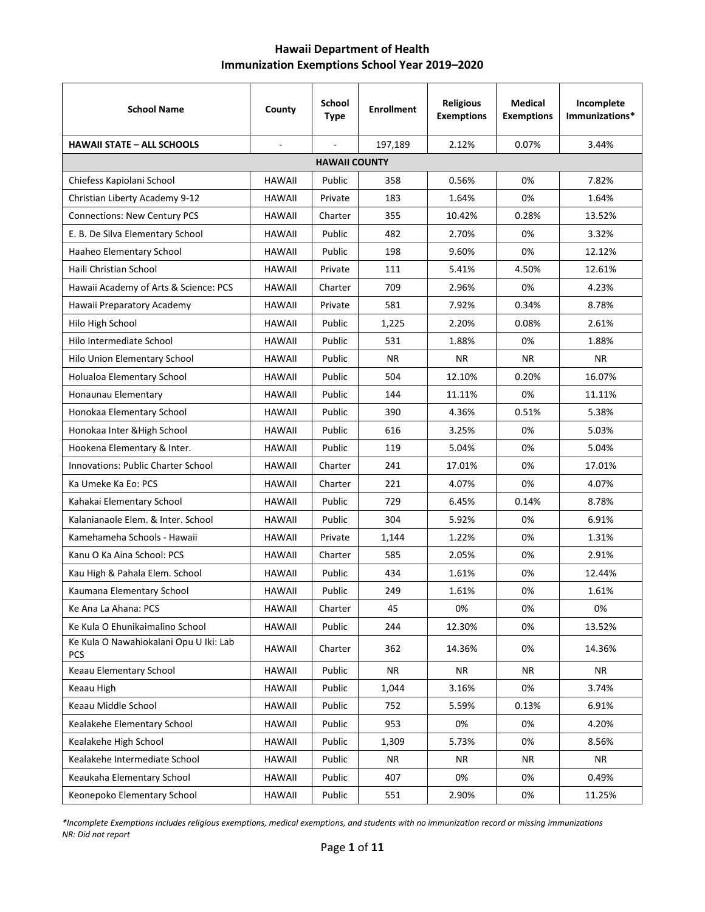## **Hawaii Department of Health Immunization Exemptions School Year 2019–2020**

| <b>School Name</b>                                   | County        | <b>School</b><br><b>Type</b> | <b>Enrollment</b> | <b>Religious</b><br><b>Exemptions</b> | <b>Medical</b><br><b>Exemptions</b> | Incomplete<br>Immunizations* |  |  |  |
|------------------------------------------------------|---------------|------------------------------|-------------------|---------------------------------------|-------------------------------------|------------------------------|--|--|--|
| <b>HAWAII STATE - ALL SCHOOLS</b>                    | $\omega$      | ä,                           | 197,189           | 2.12%                                 | 0.07%                               | 3.44%                        |  |  |  |
| <b>HAWAII COUNTY</b>                                 |               |                              |                   |                                       |                                     |                              |  |  |  |
| Chiefess Kapiolani School                            | <b>HAWAII</b> | Public                       | 358               | 0.56%                                 | 0%                                  | 7.82%                        |  |  |  |
| Christian Liberty Academy 9-12                       | <b>HAWAII</b> | Private                      | 183               | 1.64%                                 | 0%                                  | 1.64%                        |  |  |  |
| <b>Connections: New Century PCS</b>                  | HAWAII        | Charter                      | 355               | 10.42%                                | 0.28%                               | 13.52%                       |  |  |  |
| E. B. De Silva Elementary School                     | HAWAII        | Public                       | 482               | 2.70%                                 | 0%                                  | 3.32%                        |  |  |  |
| Haaheo Elementary School                             | <b>HAWAII</b> | Public                       | 198               | 9.60%                                 | 0%                                  | 12.12%                       |  |  |  |
| Haili Christian School                               | <b>HAWAII</b> | Private                      | 111               | 5.41%                                 | 4.50%                               | 12.61%                       |  |  |  |
| Hawaii Academy of Arts & Science: PCS                | HAWAII        | Charter                      | 709               | 2.96%                                 | 0%                                  | 4.23%                        |  |  |  |
| Hawaii Preparatory Academy                           | HAWAII        | Private                      | 581               | 7.92%                                 | 0.34%                               | 8.78%                        |  |  |  |
| Hilo High School                                     | <b>HAWAII</b> | Public                       | 1,225             | 2.20%                                 | 0.08%                               | 2.61%                        |  |  |  |
| Hilo Intermediate School                             | HAWAII        | Public                       | 531               | 1.88%                                 | 0%                                  | 1.88%                        |  |  |  |
| Hilo Union Elementary School                         | <b>HAWAII</b> | Public                       | NR.               | <b>NR</b>                             | <b>NR</b>                           | NR.                          |  |  |  |
| Holualoa Elementary School                           | <b>HAWAII</b> | Public                       | 504               | 12.10%                                | 0.20%                               | 16.07%                       |  |  |  |
| Honaunau Elementary                                  | HAWAII        | Public                       | 144               | 11.11%                                | 0%                                  | 11.11%                       |  |  |  |
| Honokaa Elementary School                            | HAWAII        | Public                       | 390               | 4.36%                                 | 0.51%                               | 5.38%                        |  |  |  |
| Honokaa Inter & High School                          | <b>HAWAII</b> | Public                       | 616               | 3.25%                                 | 0%                                  | 5.03%                        |  |  |  |
| Hookena Elementary & Inter.                          | HAWAII        | Public                       | 119               | 5.04%                                 | 0%                                  | 5.04%                        |  |  |  |
| <b>Innovations: Public Charter School</b>            | HAWAII        | Charter                      | 241               | 17.01%                                | 0%                                  | 17.01%                       |  |  |  |
| Ka Umeke Ka Eo: PCS                                  | <b>HAWAII</b> | Charter                      | 221               | 4.07%                                 | 0%                                  | 4.07%                        |  |  |  |
| Kahakai Elementary School                            | HAWAII        | Public                       | 729               | 6.45%                                 | 0.14%                               | 8.78%                        |  |  |  |
| Kalanianaole Elem. & Inter. School                   | <b>HAWAII</b> | Public                       | 304               | 5.92%                                 | 0%                                  | 6.91%                        |  |  |  |
| Kamehameha Schools - Hawaii                          | <b>HAWAII</b> | Private                      | 1,144             | 1.22%                                 | 0%                                  | 1.31%                        |  |  |  |
| Kanu O Ka Aina School: PCS                           | HAWAII        | Charter                      | 585               | 2.05%                                 | 0%                                  | 2.91%                        |  |  |  |
| Kau High & Pahala Elem. School                       | HAWAII        | Public                       | 434               | 1.61%                                 | 0%                                  | 12.44%                       |  |  |  |
| Kaumana Elementary School                            | <b>HAWAII</b> | Public                       | 249               | 1.61%                                 | 0%                                  | 1.61%                        |  |  |  |
| Ke Ana La Ahana: PCS                                 | <b>HAWAII</b> | Charter                      | 45                | 0%                                    | 0%                                  | 0%                           |  |  |  |
| Ke Kula O Ehunikaimalino School                      | <b>HAWAII</b> | Public                       | 244               | 12.30%                                | 0%                                  | 13.52%                       |  |  |  |
| Ke Kula O Nawahiokalani Opu U Iki: Lab<br><b>PCS</b> | HAWAII        | Charter                      | 362               | 14.36%                                | 0%                                  | 14.36%                       |  |  |  |
| Keaau Elementary School                              | <b>HAWAII</b> | Public                       | NR                | <b>NR</b>                             | <b>NR</b>                           | NR                           |  |  |  |
| Keaau High                                           | HAWAII        | Public                       | 1,044             | 3.16%                                 | 0%                                  | 3.74%                        |  |  |  |
| Keaau Middle School                                  | <b>HAWAII</b> | Public                       | 752               | 5.59%                                 | 0.13%                               | 6.91%                        |  |  |  |
| Kealakehe Elementary School                          | <b>HAWAII</b> | Public                       | 953               | 0%                                    | 0%                                  | 4.20%                        |  |  |  |
| Kealakehe High School                                | HAWAII        | Public                       | 1,309             | 5.73%                                 | 0%                                  | 8.56%                        |  |  |  |
| Kealakehe Intermediate School                        | HAWAII        | Public                       | NR                | NR                                    | <b>NR</b>                           | <b>NR</b>                    |  |  |  |
| Keaukaha Elementary School                           | HAWAII        | Public                       | 407               | 0%                                    | 0%                                  | 0.49%                        |  |  |  |
| Keonepoko Elementary School                          | HAWAII        | Public                       | 551               | 2.90%                                 | 0%                                  | 11.25%                       |  |  |  |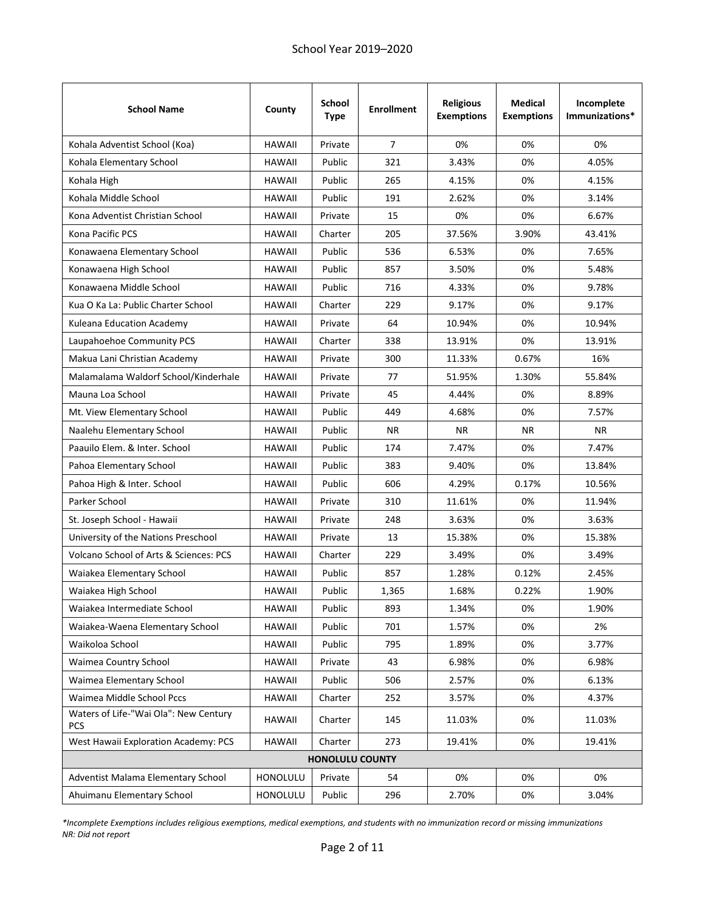| <b>School Name</b>                                  | County        | <b>School</b><br><b>Type</b> | <b>Enrollment</b> | <b>Religious</b><br><b>Exemptions</b> | <b>Medical</b><br><b>Exemptions</b> | Incomplete<br>Immunizations* |
|-----------------------------------------------------|---------------|------------------------------|-------------------|---------------------------------------|-------------------------------------|------------------------------|
| Kohala Adventist School (Koa)                       | <b>HAWAII</b> | Private                      | $\overline{7}$    | 0%                                    | 0%                                  | 0%                           |
| Kohala Elementary School                            | <b>HAWAII</b> | Public                       | 321               | 3.43%                                 | 0%                                  | 4.05%                        |
| Kohala High                                         | <b>HAWAII</b> | Public                       | 265               | 4.15%                                 | 0%                                  | 4.15%                        |
| Kohala Middle School                                | <b>HAWAII</b> | Public                       | 191               | 2.62%                                 | 0%                                  | 3.14%                        |
| Kona Adventist Christian School                     | <b>HAWAII</b> | Private                      | 15                | 0%                                    | 0%                                  | 6.67%                        |
| Kona Pacific PCS                                    | <b>HAWAII</b> | Charter                      | 205               | 37.56%                                | 3.90%                               | 43.41%                       |
| Konawaena Elementary School                         | <b>HAWAII</b> | Public                       | 536               | 6.53%                                 | 0%                                  | 7.65%                        |
| Konawaena High School                               | <b>HAWAII</b> | Public                       | 857               | 3.50%                                 | 0%                                  | 5.48%                        |
| Konawaena Middle School                             | <b>HAWAII</b> | Public                       | 716               | 4.33%                                 | 0%                                  | 9.78%                        |
| Kua O Ka La: Public Charter School                  | <b>HAWAII</b> | Charter                      | 229               | 9.17%                                 | 0%                                  | 9.17%                        |
| Kuleana Education Academy                           | <b>HAWAII</b> | Private                      | 64                | 10.94%                                | 0%                                  | 10.94%                       |
| Laupahoehoe Community PCS                           | <b>HAWAII</b> | Charter                      | 338               | 13.91%                                | 0%                                  | 13.91%                       |
| Makua Lani Christian Academy                        | <b>HAWAII</b> | Private                      | 300               | 11.33%                                | 0.67%                               | 16%                          |
| Malamalama Waldorf School/Kinderhale                | <b>HAWAII</b> | Private                      | 77                | 51.95%                                | 1.30%                               | 55.84%                       |
| Mauna Loa School                                    | <b>HAWAII</b> | Private                      | 45                | 4.44%                                 | 0%                                  | 8.89%                        |
| Mt. View Elementary School                          | <b>HAWAII</b> | Public                       | 449               | 4.68%                                 | 0%                                  | 7.57%                        |
| Naalehu Elementary School                           | <b>HAWAII</b> | Public                       | NR.               | NR.                                   | <b>NR</b>                           | NR.                          |
| Paauilo Elem. & Inter. School                       | <b>HAWAII</b> | Public                       | 174               | 7.47%                                 | 0%                                  | 7.47%                        |
| Pahoa Elementary School                             | <b>HAWAII</b> | Public                       | 383               | 9.40%                                 | 0%                                  | 13.84%                       |
| Pahoa High & Inter. School                          | <b>HAWAII</b> | Public                       | 606               | 4.29%                                 | 0.17%                               | 10.56%                       |
| Parker School                                       | <b>HAWAII</b> | Private                      | 310               | 11.61%                                | 0%                                  | 11.94%                       |
| St. Joseph School - Hawaii                          | <b>HAWAII</b> | Private                      | 248               | 3.63%                                 | 0%                                  | 3.63%                        |
| University of the Nations Preschool                 | <b>HAWAII</b> | Private                      | 13                | 15.38%                                | 0%                                  | 15.38%                       |
| Volcano School of Arts & Sciences: PCS              | <b>HAWAII</b> | Charter                      | 229               | 3.49%                                 | 0%                                  | 3.49%                        |
| Waiakea Elementary School                           | <b>HAWAII</b> | Public                       | 857               | 1.28%                                 | 0.12%                               | 2.45%                        |
| Waiakea High School                                 | <b>HAWAII</b> | Public                       | 1,365             | 1.68%                                 | 0.22%                               | 1.90%                        |
| Waiakea Intermediate School                         | <b>HAWAII</b> | Public                       | 893               | 1.34%                                 | 0%                                  | 1.90%                        |
| Waiakea-Waena Elementary School                     | <b>HAWAII</b> | Public                       | 701               | 1.57%                                 | 0%                                  | 2%                           |
| Waikoloa School                                     | <b>HAWAII</b> | Public                       | 795               | 1.89%                                 | 0%                                  | 3.77%                        |
| Waimea Country School                               | <b>HAWAII</b> | Private                      | 43                | 6.98%                                 | 0%                                  | 6.98%                        |
| Waimea Elementary School                            | <b>HAWAII</b> | Public                       | 506               | 2.57%                                 | 0%                                  | 6.13%                        |
| Waimea Middle School Pccs                           | <b>HAWAII</b> | Charter                      | 252               | 3.57%                                 | 0%                                  | 4.37%                        |
| Waters of Life-"Wai Ola": New Century<br><b>PCS</b> | <b>HAWAII</b> | Charter                      | 145               | 11.03%                                | 0%                                  | 11.03%                       |
| West Hawaii Exploration Academy: PCS                | <b>HAWAII</b> | Charter                      | 273               | 19.41%                                | 0%                                  | 19.41%                       |
|                                                     |               | <b>HONOLULU COUNTY</b>       |                   |                                       |                                     |                              |
| Adventist Malama Elementary School                  | HONOLULU      | Private                      | 54                | 0%                                    | 0%                                  | 0%                           |
| Ahuimanu Elementary School                          | HONOLULU      | Public                       | 296               | 2.70%                                 | 0%                                  | 3.04%                        |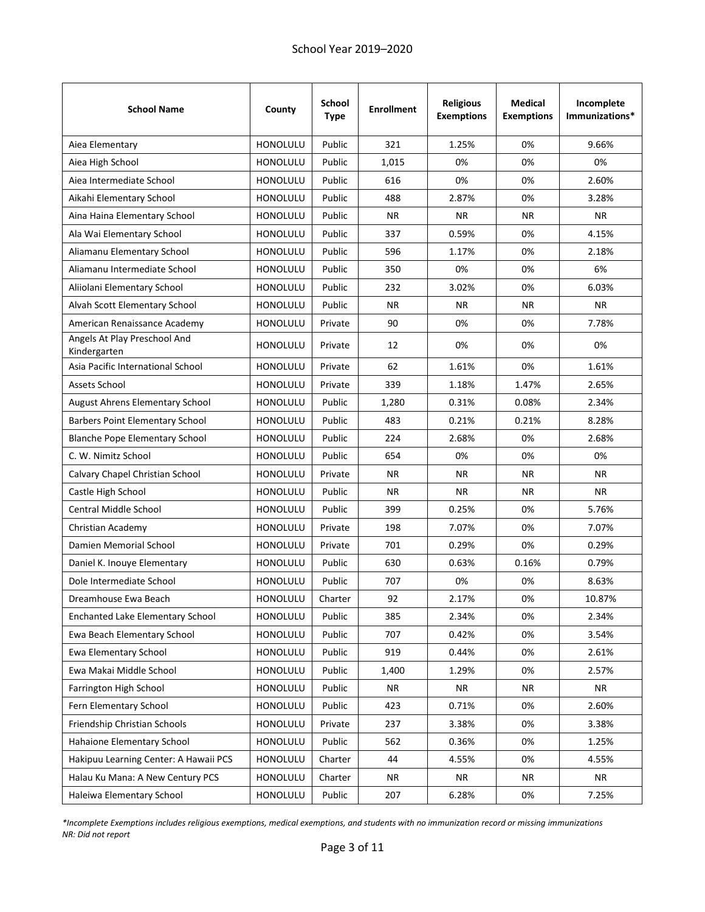| <b>School Name</b>                           | County          | <b>School</b><br><b>Type</b> | <b>Enrollment</b> | <b>Religious</b><br><b>Exemptions</b> | <b>Medical</b><br><b>Exemptions</b> | Incomplete<br>Immunizations* |
|----------------------------------------------|-----------------|------------------------------|-------------------|---------------------------------------|-------------------------------------|------------------------------|
| Aiea Elementary                              | <b>HONOLULU</b> | Public                       | 321               | 1.25%                                 | 0%                                  | 9.66%                        |
| Aiea High School                             | HONOLULU        | Public                       | 1,015             | 0%                                    | 0%                                  | 0%                           |
| Aiea Intermediate School                     | HONOLULU        | Public                       | 616               | 0%                                    | 0%                                  | 2.60%                        |
| Aikahi Elementary School                     | <b>HONOLULU</b> | Public                       | 488               | 2.87%                                 | 0%                                  | 3.28%                        |
| Aina Haina Elementary School                 | <b>HONOLULU</b> | Public                       | ΝR                | NR.                                   | NR.                                 | <b>NR</b>                    |
| Ala Wai Elementary School                    | <b>HONOLULU</b> | Public                       | 337               | 0.59%                                 | 0%                                  | 4.15%                        |
| Aliamanu Elementary School                   | <b>HONOLULU</b> | Public                       | 596               | 1.17%                                 | 0%                                  | 2.18%                        |
| Aliamanu Intermediate School                 | <b>HONOLULU</b> | Public                       | 350               | 0%                                    | 0%                                  | 6%                           |
| Aliiolani Elementary School                  | HONOLULU        | Public                       | 232               | 3.02%                                 | 0%                                  | 6.03%                        |
| Alvah Scott Elementary School                | <b>HONOLULU</b> | Public                       | ΝR                | ΝR                                    | ΝR                                  | <b>NR</b>                    |
| American Renaissance Academy                 | <b>HONOLULU</b> | Private                      | 90                | 0%                                    | 0%                                  | 7.78%                        |
| Angels At Play Preschool And<br>Kindergarten | <b>HONOLULU</b> | Private                      | 12                | 0%                                    | 0%                                  | 0%                           |
| Asia Pacific International School            | HONOLULU        | Private                      | 62                | 1.61%                                 | 0%                                  | 1.61%                        |
| Assets School                                | <b>HONOLULU</b> | Private                      | 339               | 1.18%                                 | 1.47%                               | 2.65%                        |
| <b>August Ahrens Elementary School</b>       | <b>HONOLULU</b> | Public                       | 1,280             | 0.31%                                 | 0.08%                               | 2.34%                        |
| <b>Barbers Point Elementary School</b>       | <b>HONOLULU</b> | Public                       | 483               | 0.21%                                 | 0.21%                               | 8.28%                        |
| <b>Blanche Pope Elementary School</b>        | <b>HONOLULU</b> | Public                       | 224               | 2.68%                                 | 0%                                  | 2.68%                        |
| C. W. Nimitz School                          | <b>HONOLULU</b> | Public                       | 654               | 0%                                    | 0%                                  | 0%                           |
| Calvary Chapel Christian School              | HONOLULU        | Private                      | <b>NR</b>         | <b>NR</b>                             | <b>NR</b>                           | <b>NR</b>                    |
| Castle High School                           | <b>HONOLULU</b> | Public                       | ΝR                | ΝR                                    | ΝR                                  | <b>NR</b>                    |
| Central Middle School                        | <b>HONOLULU</b> | Public                       | 399               | 0.25%                                 | 0%                                  | 5.76%                        |
| Christian Academy                            | <b>HONOLULU</b> | Private                      | 198               | 7.07%                                 | 0%                                  | 7.07%                        |
| Damien Memorial School                       | <b>HONOLULU</b> | Private                      | 701               | 0.29%                                 | 0%                                  | 0.29%                        |
| Daniel K. Inouye Elementary                  | <b>HONOLULU</b> | Public                       | 630               | 0.63%                                 | 0.16%                               | 0.79%                        |
| Dole Intermediate School                     | HONOLULU        | Public                       | 707               | 0%                                    | 0%                                  | 8.63%                        |
| Dreamhouse Ewa Beach                         | HONOLULU        | Charter                      | 92                | 2.17%                                 | 0%                                  | 10.87%                       |
| <b>Enchanted Lake Elementary School</b>      | HONOLULU        | Public                       | 385               | 2.34%                                 | 0%                                  | 2.34%                        |
| Ewa Beach Elementary School                  | HONOLULU        | Public                       | 707               | 0.42%                                 | 0%                                  | 3.54%                        |
| Ewa Elementary School                        | HONOLULU        | Public                       | 919               | 0.44%                                 | 0%                                  | 2.61%                        |
| Ewa Makai Middle School                      | HONOLULU        | Public                       | 1,400             | 1.29%                                 | 0%                                  | 2.57%                        |
| Farrington High School                       | HONOLULU        | Public                       | NR                | <b>NR</b>                             | ΝR                                  | <b>NR</b>                    |
| Fern Elementary School                       | HONOLULU        | Public                       | 423               | 0.71%                                 | 0%                                  | 2.60%                        |
| Friendship Christian Schools                 | HONOLULU        | Private                      | 237               | 3.38%                                 | 0%                                  | 3.38%                        |
| Hahaione Elementary School                   | HONOLULU        | Public                       | 562               | 0.36%                                 | 0%                                  | 1.25%                        |
| Hakipuu Learning Center: A Hawaii PCS        | <b>HONOLULU</b> | Charter                      | 44                | 4.55%                                 | 0%                                  | 4.55%                        |
| Halau Ku Mana: A New Century PCS             | HONOLULU        | Charter                      | NR                | <b>NR</b>                             | <b>NR</b>                           | <b>NR</b>                    |
| Haleiwa Elementary School                    | HONOLULU        | Public                       | 207               | 6.28%                                 | 0%                                  | 7.25%                        |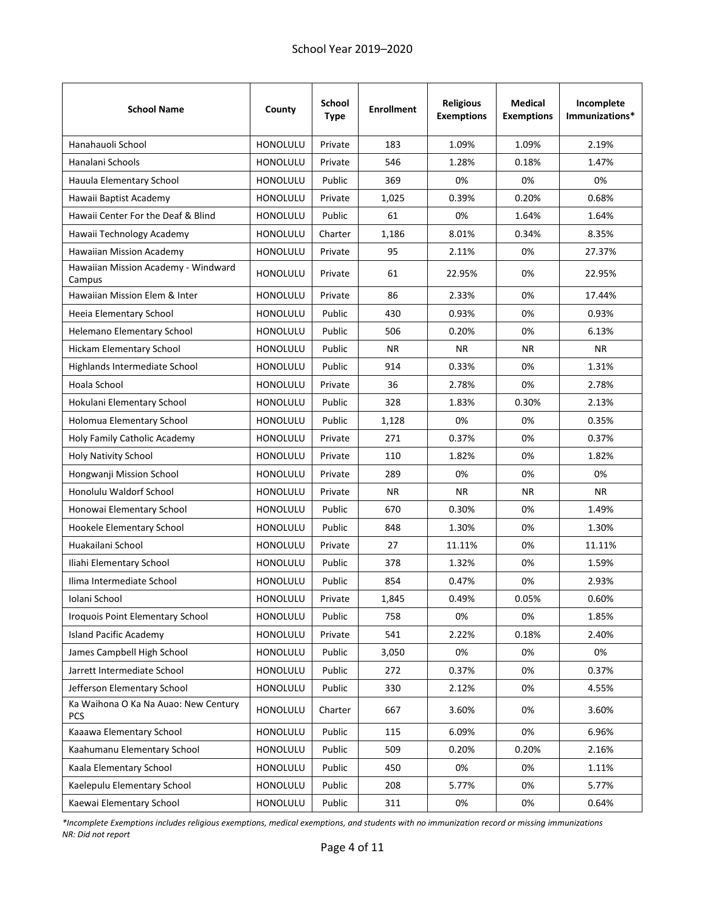| <b>School Name</b>                                 | County          | <b>School</b><br><b>Type</b> | <b>Enrollment</b> | <b>Religious</b><br><b>Exemptions</b> | <b>Medical</b><br><b>Exemptions</b> | Incomplete<br>Immunizations* |
|----------------------------------------------------|-----------------|------------------------------|-------------------|---------------------------------------|-------------------------------------|------------------------------|
| Hanahauoli School                                  | <b>HONOLULU</b> | Private                      | 183               | 1.09%                                 | 1.09%                               | 2.19%                        |
| Hanalani Schools                                   | <b>HONOLULU</b> | Private                      | 546               | 1.28%                                 | 0.18%                               | 1.47%                        |
| Hauula Elementary School                           | <b>HONOLULU</b> | Public                       | 369               | 0%                                    | 0%                                  | 0%                           |
| Hawaii Baptist Academy                             | <b>HONOLULU</b> | Private                      | 1,025             | 0.39%                                 | 0.20%                               | 0.68%                        |
| Hawaii Center For the Deaf & Blind                 | <b>HONOLULU</b> | Public                       | 61                | 0%                                    | 1.64%                               | 1.64%                        |
| Hawaii Technology Academy                          | <b>HONOLULU</b> | Charter                      | 1,186             | 8.01%                                 | 0.34%                               | 8.35%                        |
| Hawaiian Mission Academy                           | HONOLULU        | Private                      | 95                | 2.11%                                 | 0%                                  | 27.37%                       |
| Hawaiian Mission Academy - Windward<br>Campus      | HONOLULU        | Private                      | 61                | 22.95%                                | 0%                                  | 22.95%                       |
| Hawaiian Mission Elem & Inter                      | <b>HONOLULU</b> | Private                      | 86                | 2.33%                                 | 0%                                  | 17.44%                       |
| Heeia Elementary School                            | <b>HONOLULU</b> | Public                       | 430               | 0.93%                                 | 0%                                  | 0.93%                        |
| Helemano Elementary School                         | <b>HONOLULU</b> | Public                       | 506               | 0.20%                                 | 0%                                  | 6.13%                        |
| <b>Hickam Elementary School</b>                    | HONOLULU        | Public                       | <b>NR</b>         | <b>NR</b>                             | NR.                                 | <b>NR</b>                    |
| Highlands Intermediate School                      | <b>HONOLULU</b> | Public                       | 914               | 0.33%                                 | 0%                                  | 1.31%                        |
| Hoala School                                       | <b>HONOLULU</b> | Private                      | 36                | 2.78%                                 | 0%                                  | 2.78%                        |
| Hokulani Elementary School                         | <b>HONOLULU</b> | Public                       | 328               | 1.83%                                 | 0.30%                               | 2.13%                        |
| Holomua Elementary School                          | <b>HONOLULU</b> | Public                       | 1,128             | 0%                                    | 0%                                  | 0.35%                        |
| Holy Family Catholic Academy                       | <b>HONOLULU</b> | Private                      | 271               | 0.37%                                 | 0%                                  | 0.37%                        |
| <b>Holy Nativity School</b>                        | HONOLULU        | Private                      | 110               | 1.82%                                 | 0%                                  | 1.82%                        |
| Hongwanji Mission School                           | HONOLULU        | Private                      | 289               | 0%                                    | 0%                                  | 0%                           |
| Honolulu Waldorf School                            | <b>HONOLULU</b> | Private                      | NR                | NR.                                   | NR.                                 | NR.                          |
| Honowai Elementary School                          | HONOLULU        | Public                       | 670               | 0.30%                                 | 0%                                  | 1.49%                        |
| Hookele Elementary School                          | <b>HONOLULU</b> | Public                       | 848               | 1.30%                                 | 0%                                  | 1.30%                        |
| Huakailani School                                  | <b>HONOLULU</b> | Private                      | 27                | 11.11%                                | 0%                                  | 11.11%                       |
| Iliahi Elementary School                           | HONOLULU        | Public                       | 378               | 1.32%                                 | 0%                                  | 1.59%                        |
| Ilima Intermediate School                          | <b>HONOLULU</b> | Public                       | 854               | 0.47%                                 | 0%                                  | 2.93%                        |
| Iolani School                                      | HONOLULU        | Private                      | 1,845             | 0.49%                                 | 0.05%                               | 0.60%                        |
| Iroquois Point Elementary School                   | <b>HONOLULU</b> | Public                       | 758               | 0%                                    | 0%                                  | 1.85%                        |
| <b>Island Pacific Academy</b>                      | HONOLULU        | Private                      | 541               | 2.22%                                 | 0.18%                               | 2.40%                        |
| James Campbell High School                         | HONOLULU        | Public                       | 3,050             | 0%                                    | 0%                                  | 0%                           |
| Jarrett Intermediate School                        | HONOLULU        | Public                       | 272               | 0.37%                                 | 0%                                  | 0.37%                        |
| Jefferson Elementary School                        | HONOLULU        | Public                       | 330               | 2.12%                                 | 0%                                  | 4.55%                        |
| Ka Waihona O Ka Na Auao: New Century<br><b>PCS</b> | HONOLULU        | Charter                      | 667               | 3.60%                                 | 0%                                  | 3.60%                        |
| Kaaawa Elementary School                           | HONOLULU        | Public                       | 115               | 6.09%                                 | 0%                                  | 6.96%                        |
| Kaahumanu Elementary School                        | HONOLULU        | Public                       | 509               | 0.20%                                 | 0.20%                               | 2.16%                        |
| Kaala Elementary School                            | <b>HONOLULU</b> | Public                       | 450               | 0%                                    | 0%                                  | 1.11%                        |
| Kaelepulu Elementary School                        | HONOLULU        | Public                       | 208               | 5.77%                                 | 0%                                  | 5.77%                        |
| Kaewai Elementary School                           | HONOLULU        | Public                       | 311               | 0%                                    | 0%                                  | 0.64%                        |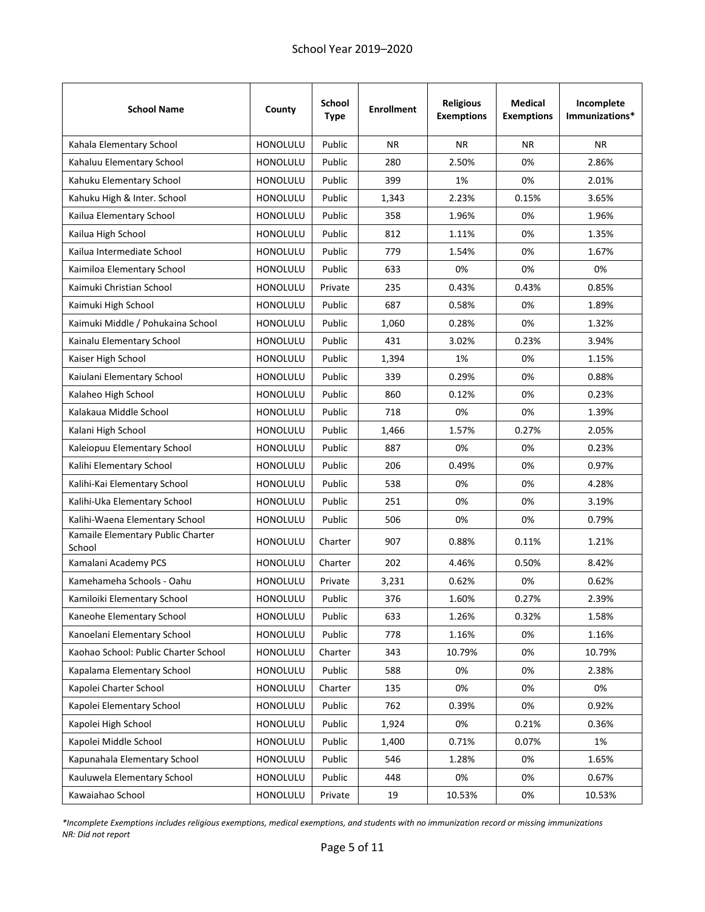| <b>School Name</b>                          | County          | <b>School</b><br><b>Type</b> | <b>Enrollment</b> | <b>Religious</b><br><b>Exemptions</b> | <b>Medical</b><br><b>Exemptions</b> | Incomplete<br>Immunizations* |
|---------------------------------------------|-----------------|------------------------------|-------------------|---------------------------------------|-------------------------------------|------------------------------|
| Kahala Elementary School                    | <b>HONOLULU</b> | Public                       | <b>NR</b>         | <b>NR</b>                             | <b>NR</b>                           | <b>NR</b>                    |
| Kahaluu Elementary School                   | <b>HONOLULU</b> | Public                       | 280               | 2.50%                                 | 0%                                  | 2.86%                        |
| Kahuku Elementary School                    | HONOLULU        | Public                       | 399               | 1%                                    | 0%                                  | 2.01%                        |
| Kahuku High & Inter. School                 | <b>HONOLULU</b> | Public                       | 1,343             | 2.23%                                 | 0.15%                               | 3.65%                        |
| Kailua Elementary School                    | <b>HONOLULU</b> | Public                       | 358               | 1.96%                                 | 0%                                  | 1.96%                        |
| Kailua High School                          | <b>HONOLULU</b> | Public                       | 812               | 1.11%                                 | 0%                                  | 1.35%                        |
| Kailua Intermediate School                  | <b>HONOLULU</b> | Public                       | 779               | 1.54%                                 | 0%                                  | 1.67%                        |
| Kaimiloa Elementary School                  | <b>HONOLULU</b> | Public                       | 633               | 0%                                    | 0%                                  | 0%                           |
| Kaimuki Christian School                    | HONOLULU        | Private                      | 235               | 0.43%                                 | 0.43%                               | 0.85%                        |
| Kaimuki High School                         | <b>HONOLULU</b> | Public                       | 687               | 0.58%                                 | 0%                                  | 1.89%                        |
| Kaimuki Middle / Pohukaina School           | <b>HONOLULU</b> | Public                       | 1,060             | 0.28%                                 | 0%                                  | 1.32%                        |
| Kainalu Elementary School                   | HONOLULU        | Public                       | 431               | 3.02%                                 | 0.23%                               | 3.94%                        |
| Kaiser High School                          | HONOLULU        | Public                       | 1,394             | 1%                                    | 0%                                  | 1.15%                        |
| Kaiulani Elementary School                  | HONOLULU        | Public                       | 339               | 0.29%                                 | 0%                                  | 0.88%                        |
| Kalaheo High School                         | HONOLULU        | Public                       | 860               | 0.12%                                 | 0%                                  | 0.23%                        |
| Kalakaua Middle School                      | <b>HONOLULU</b> | Public                       | 718               | 0%                                    | 0%                                  | 1.39%                        |
| Kalani High School                          | <b>HONOLULU</b> | Public                       | 1,466             | 1.57%                                 | 0.27%                               | 2.05%                        |
| Kaleiopuu Elementary School                 | <b>HONOLULU</b> | Public                       | 887               | 0%                                    | 0%                                  | 0.23%                        |
| Kalihi Elementary School                    | HONOLULU        | Public                       | 206               | 0.49%                                 | 0%                                  | 0.97%                        |
| Kalihi-Kai Elementary School                | <b>HONOLULU</b> | Public                       | 538               | 0%                                    | 0%                                  | 4.28%                        |
| Kalihi-Uka Elementary School                | HONOLULU        | Public                       | 251               | 0%                                    | 0%                                  | 3.19%                        |
| Kalihi-Waena Elementary School              | <b>HONOLULU</b> | Public                       | 506               | 0%                                    | 0%                                  | 0.79%                        |
| Kamaile Elementary Public Charter<br>School | HONOLULU        | Charter                      | 907               | 0.88%                                 | 0.11%                               | 1.21%                        |
| Kamalani Academy PCS                        | HONOLULU        | Charter                      | 202               | 4.46%                                 | 0.50%                               | 8.42%                        |
| Kamehameha Schools - Oahu                   | HONOLULU        | Private                      | 3,231             | 0.62%                                 | 0%                                  | 0.62%                        |
| Kamiloiki Elementary School                 | HONOLULU        | Public                       | 376               | 1.60%                                 | 0.27%                               | 2.39%                        |
| Kaneohe Elementary School                   | <b>HONOLULU</b> | Public                       | 633               | 1.26%                                 | 0.32%                               | 1.58%                        |
| Kanoelani Elementary School                 | HONOLULU        | Public                       | 778               | 1.16%                                 | 0%                                  | 1.16%                        |
| Kaohao School: Public Charter School        | HONOLULU        | Charter                      | 343               | 10.79%                                | 0%                                  | 10.79%                       |
| Kapalama Elementary School                  | HONOLULU        | Public                       | 588               | 0%                                    | 0%                                  | 2.38%                        |
| Kapolei Charter School                      | HONOLULU        | Charter                      | 135               | 0%                                    | 0%                                  | 0%                           |
| Kapolei Elementary School                   | <b>HONOLULU</b> | Public                       | 762               | 0.39%                                 | 0%                                  | 0.92%                        |
| Kapolei High School                         | HONOLULU        | Public                       | 1,924             | 0%                                    | 0.21%                               | 0.36%                        |
| Kapolei Middle School                       | HONOLULU        | Public                       | 1,400             | 0.71%                                 | 0.07%                               | 1%                           |
| Kapunahala Elementary School                | HONOLULU        | Public                       | 546               | 1.28%                                 | 0%                                  | 1.65%                        |
| Kauluwela Elementary School                 | HONOLULU        | Public                       | 448               | 0%                                    | 0%                                  | 0.67%                        |
| Kawaiahao School                            | HONOLULU        | Private                      | 19                | 10.53%                                | 0%                                  | 10.53%                       |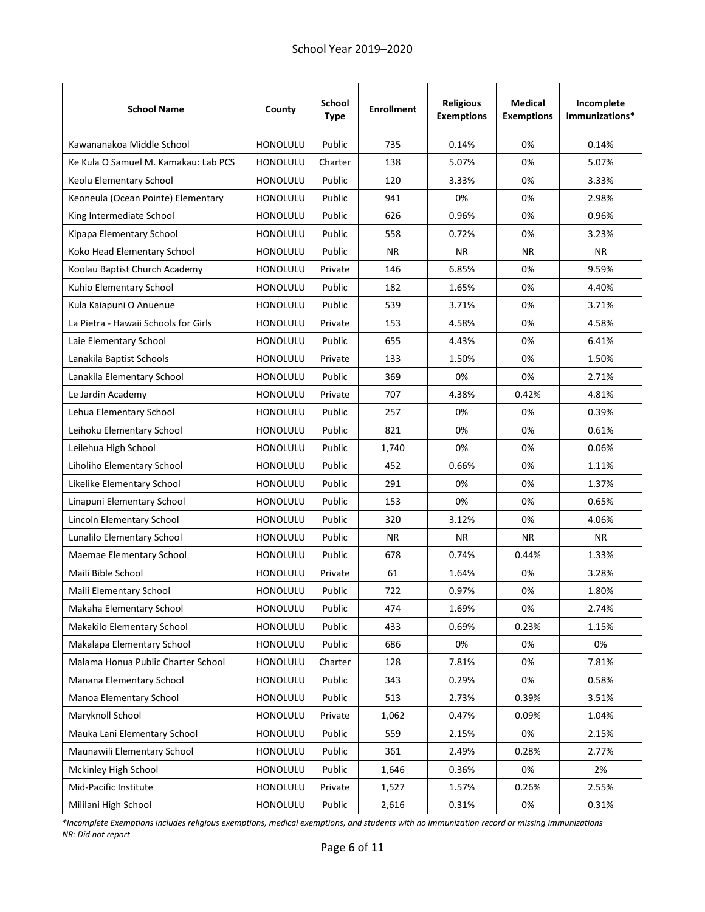| <b>School Name</b>                   | County          | <b>School</b><br><b>Type</b> | <b>Enrollment</b> | <b>Religious</b><br><b>Exemptions</b> | Medical<br><b>Exemptions</b> | Incomplete<br>Immunizations* |
|--------------------------------------|-----------------|------------------------------|-------------------|---------------------------------------|------------------------------|------------------------------|
| Kawananakoa Middle School            | <b>HONOLULU</b> | Public                       | 735               | 0.14%                                 | 0%                           | 0.14%                        |
| Ke Kula O Samuel M. Kamakau: Lab PCS | HONOLULU        | Charter                      | 138               | 5.07%                                 | 0%                           | 5.07%                        |
| Keolu Elementary School              | HONOLULU        | Public                       | 120               | 3.33%                                 | 0%                           | 3.33%                        |
| Keoneula (Ocean Pointe) Elementary   | <b>HONOLULU</b> | Public                       | 941               | 0%                                    | 0%                           | 2.98%                        |
| King Intermediate School             | <b>HONOLULU</b> | Public                       | 626               | 0.96%                                 | 0%                           | 0.96%                        |
| Kipapa Elementary School             | HONOLULU        | Public                       | 558               | 0.72%                                 | 0%                           | 3.23%                        |
| Koko Head Elementary School          | HONOLULU        | Public                       | <b>NR</b>         | <b>NR</b>                             | <b>NR</b>                    | <b>NR</b>                    |
| Koolau Baptist Church Academy        | <b>HONOLULU</b> | Private                      | 146               | 6.85%                                 | 0%                           | 9.59%                        |
| Kuhio Elementary School              | HONOLULU        | Public                       | 182               | 1.65%                                 | 0%                           | 4.40%                        |
| Kula Kaiapuni O Anuenue              | <b>HONOLULU</b> | Public                       | 539               | 3.71%                                 | 0%                           | 3.71%                        |
| La Pietra - Hawaii Schools for Girls | <b>HONOLULU</b> | Private                      | 153               | 4.58%                                 | 0%                           | 4.58%                        |
| Laie Elementary School               | <b>HONOLULU</b> | Public                       | 655               | 4.43%                                 | 0%                           | 6.41%                        |
| Lanakila Baptist Schools             | <b>HONOLULU</b> | Private                      | 133               | 1.50%                                 | 0%                           | 1.50%                        |
| Lanakila Elementary School           | <b>HONOLULU</b> | Public                       | 369               | 0%                                    | 0%                           | 2.71%                        |
| Le Jardin Academy                    | HONOLULU        | Private                      | 707               | 4.38%                                 | 0.42%                        | 4.81%                        |
| Lehua Elementary School              | HONOLULU        | Public                       | 257               | 0%                                    | 0%                           | 0.39%                        |
| Leihoku Elementary School            | <b>HONOLULU</b> | Public                       | 821               | 0%                                    | 0%                           | 0.61%                        |
| Leilehua High School                 | <b>HONOLULU</b> | Public                       | 1,740             | 0%                                    | 0%                           | 0.06%                        |
| Liholiho Elementary School           | HONOLULU        | Public                       | 452               | 0.66%                                 | 0%                           | 1.11%                        |
| Likelike Elementary School           | HONOLULU        | Public                       | 291               | 0%                                    | 0%                           | 1.37%                        |
| Linapuni Elementary School           | HONOLULU        | Public                       | 153               | 0%                                    | 0%                           | 0.65%                        |
| Lincoln Elementary School            | <b>HONOLULU</b> | Public                       | 320               | 3.12%                                 | 0%                           | 4.06%                        |
| Lunalilo Elementary School           | <b>HONOLULU</b> | Public                       | NR.               | <b>NR</b>                             | <b>NR</b>                    | NR.                          |
| Maemae Elementary School             | <b>HONOLULU</b> | Public                       | 678               | 0.74%                                 | 0.44%                        | 1.33%                        |
| Maili Bible School                   | <b>HONOLULU</b> | Private                      | 61                | 1.64%                                 | 0%                           | 3.28%                        |
| Maili Elementary School              | HONOLULU        | Public                       | 722               | 0.97%                                 | 0%                           | 1.80%                        |
| Makaha Elementary School             | HONOLULU        | Public                       | 474               | 1.69%                                 | 0%                           | 2.74%                        |
| Makakilo Elementary School           | HONOLULU        | Public                       | 433               | 0.69%                                 | 0.23%                        | 1.15%                        |
| Makalapa Elementary School           | HONOLULU        | Public                       | 686               | 0%                                    | 0%                           | 0%                           |
| Malama Honua Public Charter School   | HONOLULU        | Charter                      | 128               | 7.81%                                 | 0%                           | 7.81%                        |
| Manana Elementary School             | HONOLULU        | Public                       | 343               | 0.29%                                 | 0%                           | 0.58%                        |
| Manoa Elementary School              | HONOLULU        | Public                       | 513               | 2.73%                                 | 0.39%                        | 3.51%                        |
| Maryknoll School                     | HONOLULU        | Private                      | 1,062             | 0.47%                                 | 0.09%                        | 1.04%                        |
| Mauka Lani Elementary School         | HONOLULU        | Public                       | 559               | 2.15%                                 | 0%                           | 2.15%                        |
| Maunawili Elementary School          | HONOLULU        | Public                       | 361               | 2.49%                                 | 0.28%                        | 2.77%                        |
| Mckinley High School                 | HONOLULU        | Public                       | 1,646             | 0.36%                                 | 0%                           | 2%                           |
| Mid-Pacific Institute                | HONOLULU        | Private                      | 1,527             | 1.57%                                 | 0.26%                        | 2.55%                        |
| Mililani High School                 | HONOLULU        | Public                       | 2,616             | 0.31%                                 | 0%                           | 0.31%                        |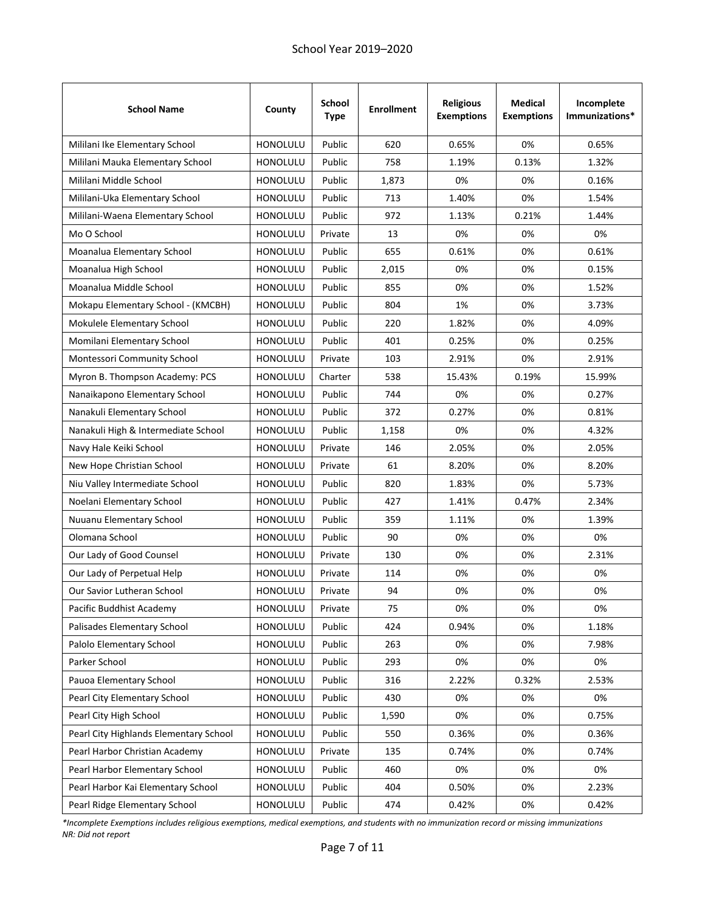| <b>School Name</b>                     | County          | <b>School</b><br><b>Type</b> | <b>Enrollment</b> | <b>Religious</b><br><b>Exemptions</b> | <b>Medical</b><br><b>Exemptions</b> | Incomplete<br>Immunizations* |
|----------------------------------------|-----------------|------------------------------|-------------------|---------------------------------------|-------------------------------------|------------------------------|
| Mililani Ike Elementary School         | <b>HONOLULU</b> | Public                       | 620               | 0.65%                                 | 0%                                  | 0.65%                        |
| Mililani Mauka Elementary School       | HONOLULU        | Public                       | 758               | 1.19%                                 | 0.13%                               | 1.32%                        |
| Mililani Middle School                 | HONOLULU        | Public                       | 1,873             | 0%                                    | 0%                                  | 0.16%                        |
| Mililani-Uka Elementary School         | <b>HONOLULU</b> | Public                       | 713               | 1.40%                                 | 0%                                  | 1.54%                        |
| Mililani-Waena Elementary School       | <b>HONOLULU</b> | Public                       | 972               | 1.13%                                 | 0.21%                               | 1.44%                        |
| Mo O School                            | HONOLULU        | Private                      | 13                | 0%                                    | 0%                                  | 0%                           |
| Moanalua Elementary School             | <b>HONOLULU</b> | Public                       | 655               | 0.61%                                 | 0%                                  | 0.61%                        |
| Moanalua High School                   | <b>HONOLULU</b> | Public                       | 2,015             | 0%                                    | 0%                                  | 0.15%                        |
| Moanalua Middle School                 | HONOLULU        | Public                       | 855               | 0%                                    | 0%                                  | 1.52%                        |
| Mokapu Elementary School - (KMCBH)     | <b>HONOLULU</b> | Public                       | 804               | 1%                                    | 0%                                  | 3.73%                        |
| Mokulele Elementary School             | <b>HONOLULU</b> | Public                       | 220               | 1.82%                                 | 0%                                  | 4.09%                        |
| Momilani Elementary School             | <b>HONOLULU</b> | Public                       | 401               | 0.25%                                 | 0%                                  | 0.25%                        |
| Montessori Community School            | <b>HONOLULU</b> | Private                      | 103               | 2.91%                                 | 0%                                  | 2.91%                        |
| Myron B. Thompson Academy: PCS         | HONOLULU        | Charter                      | 538               | 15.43%                                | 0.19%                               | 15.99%                       |
| Nanaikapono Elementary School          | HONOLULU        | Public                       | 744               | 0%                                    | 0%                                  | 0.27%                        |
| Nanakuli Elementary School             | HONOLULU        | Public                       | 372               | 0.27%                                 | 0%                                  | 0.81%                        |
| Nanakuli High & Intermediate School    | <b>HONOLULU</b> | Public                       | 1,158             | 0%                                    | 0%                                  | 4.32%                        |
| Navy Hale Keiki School                 | <b>HONOLULU</b> | Private                      | 146               | 2.05%                                 | 0%                                  | 2.05%                        |
| New Hope Christian School              | HONOLULU        | Private                      | 61                | 8.20%                                 | 0%                                  | 8.20%                        |
| Niu Valley Intermediate School         | HONOLULU        | Public                       | 820               | 1.83%                                 | 0%                                  | 5.73%                        |
| Noelani Elementary School              | HONOLULU        | Public                       | 427               | 1.41%                                 | 0.47%                               | 2.34%                        |
| Nuuanu Elementary School               | <b>HONOLULU</b> | Public                       | 359               | 1.11%                                 | 0%                                  | 1.39%                        |
| Olomana School                         | HONOLULU        | Public                       | 90                | 0%                                    | 0%                                  | 0%                           |
| Our Lady of Good Counsel               | <b>HONOLULU</b> | Private                      | 130               | 0%                                    | 0%                                  | 2.31%                        |
| Our Lady of Perpetual Help             | <b>HONOLULU</b> | Private                      | 114               | 0%                                    | 0%                                  | 0%                           |
| <b>Our Savior Lutheran School</b>      | <b>HONOLULU</b> | Private                      | 94                | 0%                                    | 0%                                  | 0%                           |
| Pacific Buddhist Academy               | HONOLULU        | Private                      | 75                | 0%                                    | 0%                                  | 0%                           |
| Palisades Elementary School            | HONOLULU        | Public                       | 424               | 0.94%                                 | 0%                                  | 1.18%                        |
| Palolo Elementary School               | HONOLULU        | Public                       | 263               | 0%                                    | 0%                                  | 7.98%                        |
| Parker School                          | HONOLULU        | Public                       | 293               | 0%                                    | 0%                                  | 0%                           |
| Pauoa Elementary School                | HONOLULU        | Public                       | 316               | 2.22%                                 | 0.32%                               | 2.53%                        |
| Pearl City Elementary School           | HONOLULU        | Public                       | 430               | 0%                                    | 0%                                  | 0%                           |
| Pearl City High School                 | HONOLULU        | Public                       | 1,590             | 0%                                    | 0%                                  | 0.75%                        |
| Pearl City Highlands Elementary School | HONOLULU        | Public                       | 550               | 0.36%                                 | 0%                                  | 0.36%                        |
| Pearl Harbor Christian Academy         | HONOLULU        | Private                      | 135               | 0.74%                                 | 0%                                  | 0.74%                        |
| Pearl Harbor Elementary School         | HONOLULU        | Public                       | 460               | 0%                                    | 0%                                  | 0%                           |
| Pearl Harbor Kai Elementary School     | HONOLULU        | Public                       | 404               | 0.50%                                 | 0%                                  | 2.23%                        |
| Pearl Ridge Elementary School          | HONOLULU        | Public                       | 474               | 0.42%                                 | 0%                                  | 0.42%                        |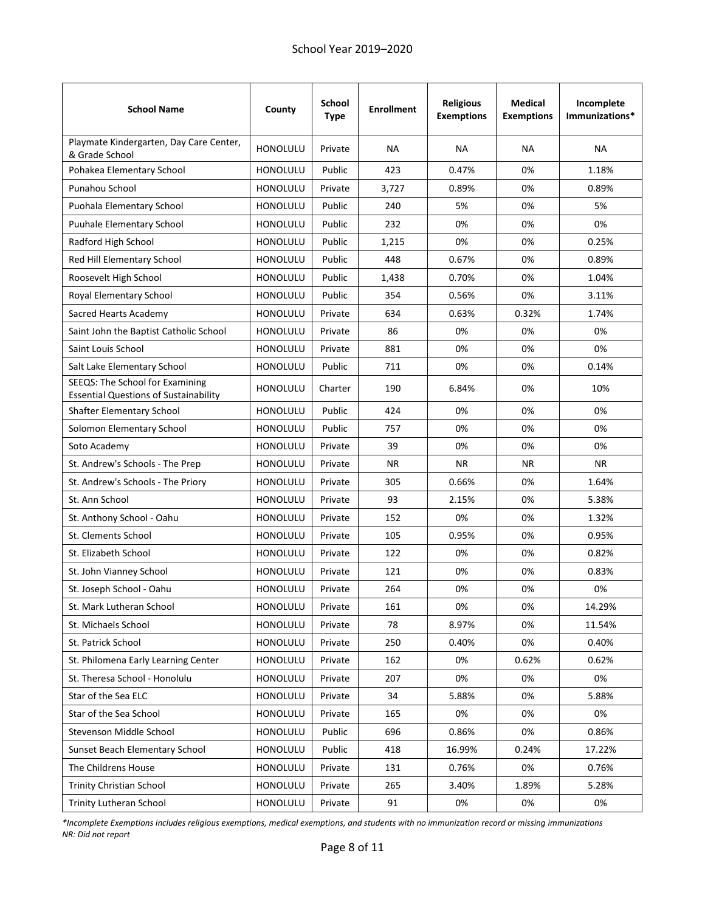| <b>School Name</b>                                                              | County          | <b>School</b><br>Type | <b>Enrollment</b> | <b>Religious</b><br><b>Exemptions</b> | <b>Medical</b><br><b>Exemptions</b> | Incomplete<br>Immunizations* |
|---------------------------------------------------------------------------------|-----------------|-----------------------|-------------------|---------------------------------------|-------------------------------------|------------------------------|
| Playmate Kindergarten, Day Care Center,<br>& Grade School                       | <b>HONOLULU</b> | Private               | <b>NA</b>         | <b>NA</b>                             | NA                                  | <b>NA</b>                    |
| Pohakea Elementary School                                                       | <b>HONOLULU</b> | Public                | 423               | 0.47%                                 | 0%                                  | 1.18%                        |
| Punahou School                                                                  | <b>HONOLULU</b> | Private               | 3,727             | 0.89%                                 | 0%                                  | 0.89%                        |
| Puohala Elementary School                                                       | <b>HONOLULU</b> | Public                | 240               | 5%                                    | 0%                                  | 5%                           |
| <b>Puuhale Elementary School</b>                                                | <b>HONOLULU</b> | Public                | 232               | 0%                                    | 0%                                  | 0%                           |
| Radford High School                                                             | <b>HONOLULU</b> | Public                | 1,215             | 0%                                    | 0%                                  | 0.25%                        |
| Red Hill Elementary School                                                      | <b>HONOLULU</b> | Public                | 448               | 0.67%                                 | 0%                                  | 0.89%                        |
| Roosevelt High School                                                           | <b>HONOLULU</b> | Public                | 1,438             | 0.70%                                 | 0%                                  | 1.04%                        |
| Royal Elementary School                                                         | <b>HONOLULU</b> | Public                | 354               | 0.56%                                 | 0%                                  | 3.11%                        |
| Sacred Hearts Academy                                                           | <b>HONOLULU</b> | Private               | 634               | 0.63%                                 | 0.32%                               | 1.74%                        |
| Saint John the Baptist Catholic School                                          | <b>HONOLULU</b> | Private               | 86                | 0%                                    | 0%                                  | 0%                           |
| Saint Louis School                                                              | <b>HONOLULU</b> | Private               | 881               | 0%                                    | 0%                                  | 0%                           |
| Salt Lake Elementary School                                                     | <b>HONOLULU</b> | Public                | 711               | 0%                                    | 0%                                  | 0.14%                        |
| SEEQS: The School for Examining<br><b>Essential Questions of Sustainability</b> | <b>HONOLULU</b> | Charter               | 190               | 6.84%                                 | 0%                                  | 10%                          |
| Shafter Elementary School                                                       | <b>HONOLULU</b> | Public                | 424               | 0%                                    | 0%                                  | 0%                           |
| Solomon Elementary School                                                       | <b>HONOLULU</b> | Public                | 757               | 0%                                    | 0%                                  | 0%                           |
| Soto Academy                                                                    | HONOLULU        | Private               | 39                | 0%                                    | 0%                                  | 0%                           |
| St. Andrew's Schools - The Prep                                                 | <b>HONOLULU</b> | Private               | NR.               | NR.                                   | NR.                                 | <b>NR</b>                    |
| St. Andrew's Schools - The Priory                                               | <b>HONOLULU</b> | Private               | 305               | 0.66%                                 | 0%                                  | 1.64%                        |
| St. Ann School                                                                  | <b>HONOLULU</b> | Private               | 93                | 2.15%                                 | 0%                                  | 5.38%                        |
| St. Anthony School - Oahu                                                       | <b>HONOLULU</b> | Private               | 152               | 0%                                    | 0%                                  | 1.32%                        |
| St. Clements School                                                             | <b>HONOLULU</b> | Private               | 105               | 0.95%                                 | 0%                                  | 0.95%                        |
| St. Elizabeth School                                                            | <b>HONOLULU</b> | Private               | 122               | 0%                                    | 0%                                  | 0.82%                        |
| St. John Vianney School                                                         | <b>HONOLULU</b> | Private               | 121               | 0%                                    | 0%                                  | 0.83%                        |
| St. Joseph School - Oahu                                                        | <b>HONOLULU</b> | Private               | 264               | 0%                                    | 0%                                  | 0%                           |
| St. Mark Lutheran School                                                        | HONOLULU        | Private               | 161               | 0%                                    | 0%                                  | 14.29%                       |
| St. Michaels School                                                             | HONOLULU        | Private               | 78                | 8.97%                                 | 0%                                  | 11.54%                       |
| St. Patrick School                                                              | HONOLULU        | Private               | 250               | 0.40%                                 | 0%                                  | 0.40%                        |
| St. Philomena Early Learning Center                                             | HONOLULU        | Private               | 162               | 0%                                    | 0.62%                               | 0.62%                        |
| St. Theresa School - Honolulu                                                   | <b>HONOLULU</b> | Private               | 207               | 0%                                    | 0%                                  | 0%                           |
| Star of the Sea ELC                                                             | HONOLULU        | Private               | 34                | 5.88%                                 | 0%                                  | 5.88%                        |
| Star of the Sea School                                                          | HONOLULU        | Private               | 165               | 0%                                    | 0%                                  | 0%                           |
| Stevenson Middle School                                                         | <b>HONOLULU</b> | Public                | 696               | 0.86%                                 | 0%                                  | 0.86%                        |
| Sunset Beach Elementary School                                                  | HONOLULU        | Public                | 418               | 16.99%                                | 0.24%                               | 17.22%                       |
| The Childrens House                                                             | <b>HONOLULU</b> | Private               | 131               | 0.76%                                 | 0%                                  | 0.76%                        |
| <b>Trinity Christian School</b>                                                 | HONOLULU        | Private               | 265               | 3.40%                                 | 1.89%                               | 5.28%                        |
| Trinity Lutheran School                                                         | HONOLULU        | Private               | 91                | 0%                                    | 0%                                  | 0%                           |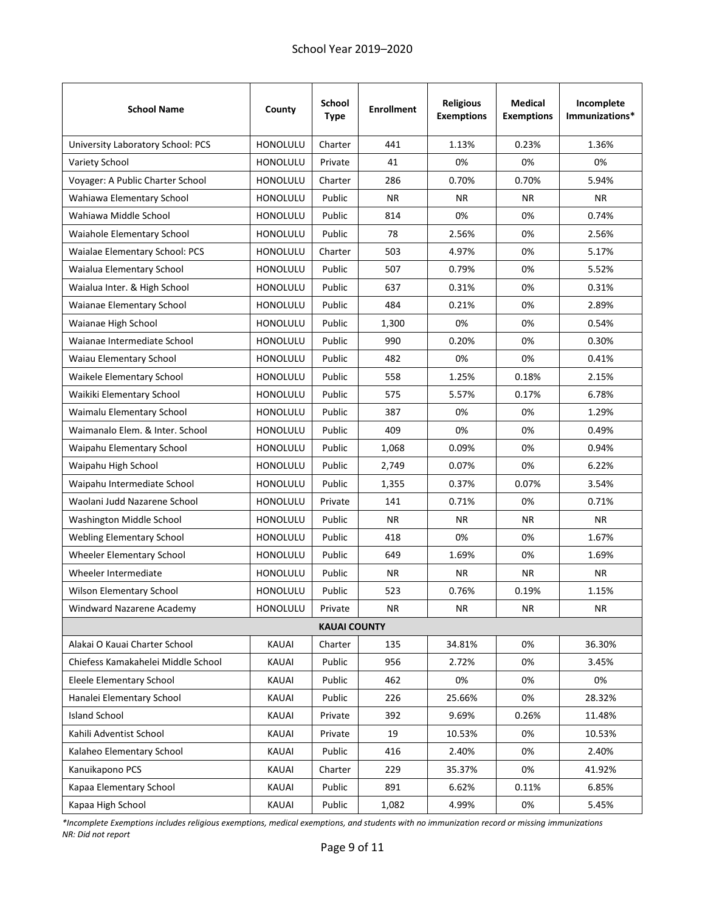| <b>School Name</b>                 | County          | <b>School</b><br><b>Type</b> | <b>Enrollment</b> | <b>Religious</b><br><b>Exemptions</b> | <b>Medical</b><br><b>Exemptions</b> | Incomplete<br>Immunizations* |
|------------------------------------|-----------------|------------------------------|-------------------|---------------------------------------|-------------------------------------|------------------------------|
| University Laboratory School: PCS  | HONOLULU        | Charter                      | 441               | 1.13%                                 | 0.23%                               | 1.36%                        |
| Variety School                     | <b>HONOLULU</b> | Private                      | 41                | 0%                                    | 0%                                  | 0%                           |
| Voyager: A Public Charter School   | <b>HONOLULU</b> | Charter                      | 286               | 0.70%                                 | 0.70%                               | 5.94%                        |
| Wahiawa Elementary School          | HONOLULU        | Public                       | <b>NR</b>         | <b>NR</b>                             | <b>NR</b>                           | <b>NR</b>                    |
| Wahiawa Middle School              | HONOLULU        | Public                       | 814               | 0%                                    | 0%                                  | 0.74%                        |
| Waiahole Elementary School         | HONOLULU        | Public                       | 78                | 2.56%                                 | 0%                                  | 2.56%                        |
| Waialae Elementary School: PCS     | HONOLULU        | Charter                      | 503               | 4.97%                                 | 0%                                  | 5.17%                        |
| Waialua Elementary School          | HONOLULU        | Public                       | 507               | 0.79%                                 | 0%                                  | 5.52%                        |
| Waialua Inter. & High School       | HONOLULU        | Public                       | 637               | 0.31%                                 | 0%                                  | 0.31%                        |
| Waianae Elementary School          | <b>HONOLULU</b> | Public                       | 484               | 0.21%                                 | 0%                                  | 2.89%                        |
| Waianae High School                | HONOLULU        | Public                       | 1,300             | 0%                                    | 0%                                  | 0.54%                        |
| Waianae Intermediate School        | <b>HONOLULU</b> | Public                       | 990               | 0.20%                                 | 0%                                  | 0.30%                        |
| Waiau Elementary School            | HONOLULU        | Public                       | 482               | 0%                                    | 0%                                  | 0.41%                        |
| Waikele Elementary School          | HONOLULU        | Public                       | 558               | 1.25%                                 | 0.18%                               | 2.15%                        |
| Waikiki Elementary School          | <b>HONOLULU</b> | Public                       | 575               | 5.57%                                 | 0.17%                               | 6.78%                        |
| Waimalu Elementary School          | HONOLULU        | Public                       | 387               | 0%                                    | 0%                                  | 1.29%                        |
| Waimanalo Elem. & Inter. School    | HONOLULU        | Public                       | 409               | 0%                                    | 0%                                  | 0.49%                        |
| Waipahu Elementary School          | <b>HONOLULU</b> | Public                       | 1,068             | 0.09%                                 | 0%                                  | 0.94%                        |
| Waipahu High School                | HONOLULU        | Public                       | 2,749             | 0.07%                                 | 0%                                  | 6.22%                        |
| Waipahu Intermediate School        | HONOLULU        | Public                       | 1,355             | 0.37%                                 | 0.07%                               | 3.54%                        |
| Waolani Judd Nazarene School       | HONOLULU        | Private                      | 141               | 0.71%                                 | 0%                                  | 0.71%                        |
| Washington Middle School           | <b>HONOLULU</b> | Public                       | NR.               | <b>NR</b>                             | <b>NR</b>                           | NR.                          |
| Webling Elementary School          | HONOLULU        | Public                       | 418               | 0%                                    | 0%                                  | 1.67%                        |
| Wheeler Elementary School          | HONOLULU        | Public                       | 649               | 1.69%                                 | 0%                                  | 1.69%                        |
| Wheeler Intermediate               | HONOLULU        | Public                       | <b>NR</b>         | <b>NR</b>                             | <b>NR</b>                           | <b>NR</b>                    |
| Wilson Elementary School           | HONOLULU        | Public                       | 523               | 0.76%                                 | 0.19%                               | 1.15%                        |
| Windward Nazarene Academy          | HONOLULU        | Private                      | <b>NR</b>         | <b>NR</b>                             | <b>NR</b>                           | <b>NR</b>                    |
|                                    |                 | <b>KAUAI COUNTY</b>          |                   |                                       |                                     |                              |
| Alakai O Kauai Charter School      | KAUAI           | Charter                      | 135               | 34.81%                                | 0%                                  | 36.30%                       |
| Chiefess Kamakahelei Middle School | KAUAI           | Public                       | 956               | 2.72%                                 | 0%                                  | 3.45%                        |
| Eleele Elementary School           | KAUAI           | Public                       | 462               | 0%                                    | 0%                                  | 0%                           |
| Hanalei Elementary School          | KAUAI           | Public                       | 226               | 25.66%                                | 0%                                  | 28.32%                       |
| <b>Island School</b>               | KAUAI           | Private                      | 392               | 9.69%                                 | 0.26%                               | 11.48%                       |
| Kahili Adventist School            | KAUAI           | Private                      | 19                | 10.53%                                | 0%                                  | 10.53%                       |
| Kalaheo Elementary School          | KAUAI           | Public                       | 416               | 2.40%                                 | 0%                                  | 2.40%                        |
| Kanuikapono PCS                    | KAUAI           | Charter                      | 229               | 35.37%                                | 0%                                  | 41.92%                       |
| Kapaa Elementary School            | KAUAI           | Public                       | 891               | 6.62%                                 | 0.11%                               | 6.85%                        |
| Kapaa High School                  | KAUAI           | Public                       | 1,082             | 4.99%                                 | 0%                                  | 5.45%                        |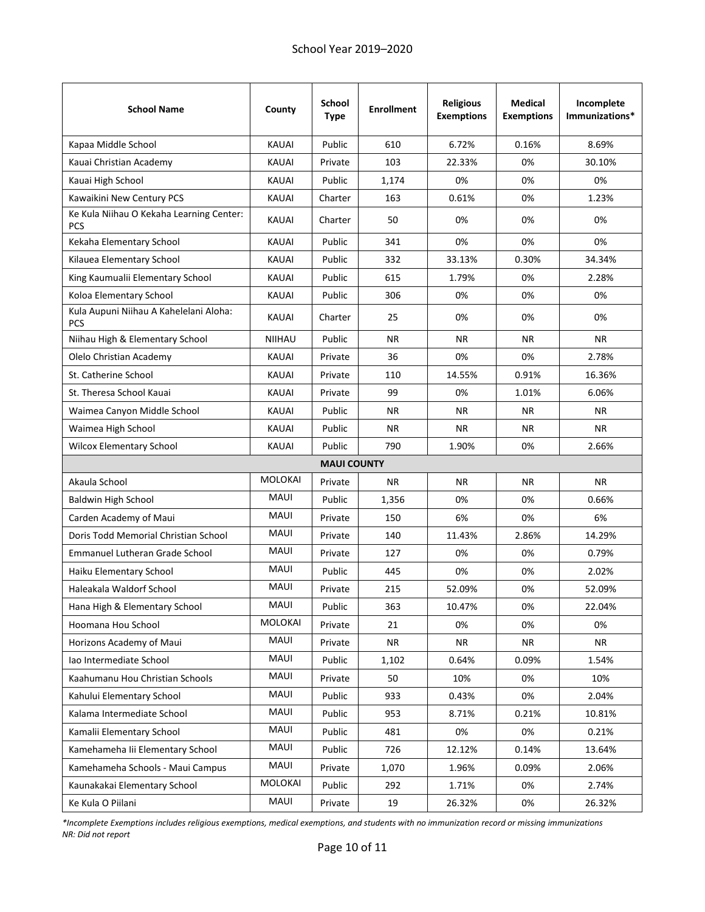| <b>School Name</b>                                     | County         | <b>School</b><br><b>Type</b> | <b>Enrollment</b> | <b>Religious</b><br><b>Exemptions</b> | <b>Medical</b><br><b>Exemptions</b> | Incomplete<br>Immunizations* |
|--------------------------------------------------------|----------------|------------------------------|-------------------|---------------------------------------|-------------------------------------|------------------------------|
| Kapaa Middle School                                    | <b>KAUAI</b>   | Public                       | 610               | 6.72%                                 | 0.16%                               | 8.69%                        |
| Kauai Christian Academy                                | <b>KAUAI</b>   | Private                      | 103               | 22.33%                                | 0%                                  | 30.10%                       |
| Kauai High School                                      | <b>KAUAI</b>   | Public                       | 1,174             | 0%                                    | 0%                                  | 0%                           |
| Kawaikini New Century PCS                              | <b>KAUAI</b>   | Charter                      | 163               | 0.61%                                 | 0%                                  | 1.23%                        |
| Ke Kula Niihau O Kekaha Learning Center:<br><b>PCS</b> | <b>KAUAI</b>   | Charter                      | 50                | 0%                                    | 0%                                  | 0%                           |
| Kekaha Elementary School                               | <b>KAUAI</b>   | Public                       | 341               | 0%                                    | 0%                                  | 0%                           |
| Kilauea Elementary School                              | <b>KAUAI</b>   | Public                       | 332               | 33.13%                                | 0.30%                               | 34.34%                       |
| King Kaumualii Elementary School                       | <b>KAUAI</b>   | Public                       | 615               | 1.79%                                 | 0%                                  | 2.28%                        |
| Koloa Elementary School                                | <b>KAUAI</b>   | Public                       | 306               | 0%                                    | 0%                                  | 0%                           |
| Kula Aupuni Niihau A Kahelelani Aloha:<br><b>PCS</b>   | <b>KAUAI</b>   | Charter                      | 25                | 0%                                    | 0%                                  | 0%                           |
| Niihau High & Elementary School                        | <b>NIIHAU</b>  | Public                       | NR.               | <b>NR</b>                             | <b>NR</b>                           | <b>NR</b>                    |
| Olelo Christian Academy                                | <b>KAUAI</b>   | Private                      | 36                | 0%                                    | 0%                                  | 2.78%                        |
| St. Catherine School                                   | <b>KAUAI</b>   | Private                      | 110               | 14.55%                                | 0.91%                               | 16.36%                       |
| St. Theresa School Kauai                               | <b>KAUAI</b>   | Private                      | 99                | 0%                                    | 1.01%                               | 6.06%                        |
| Waimea Canyon Middle School                            | <b>KAUAI</b>   | Public                       | ΝR                | <b>NR</b>                             | <b>NR</b>                           | NR.                          |
| Waimea High School                                     | <b>KAUAI</b>   | Public                       | NR.               | <b>NR</b>                             | <b>NR</b>                           | NR.                          |
| <b>Wilcox Elementary School</b>                        | <b>KAUAI</b>   | Public                       | 790               | 1.90%                                 | 0%                                  | 2.66%                        |
|                                                        |                | <b>MAUI COUNTY</b>           |                   |                                       |                                     |                              |
| Akaula School                                          | <b>MOLOKAI</b> | Private                      | NR.               | <b>NR</b>                             | <b>NR</b>                           | <b>NR</b>                    |
| <b>Baldwin High School</b>                             | MAUI           | Public                       | 1,356             | 0%                                    | 0%                                  | 0.66%                        |
| Carden Academy of Maui                                 | <b>MAUI</b>    | Private                      | 150               | 6%                                    | 0%                                  | 6%                           |
| Doris Todd Memorial Christian School                   | MAUI           | Private                      | 140               | 11.43%                                | 2.86%                               | 14.29%                       |
| <b>Emmanuel Lutheran Grade School</b>                  | <b>MAUI</b>    | Private                      | 127               | 0%                                    | 0%                                  | 0.79%                        |
| Haiku Elementary School                                | <b>MAUI</b>    | Public                       | 445               | 0%                                    | 0%                                  | 2.02%                        |
| Haleakala Waldorf School                               | MAUI           | Private                      | 215               | 52.09%                                | 0%                                  | 52.09%                       |
| Hana High & Elementary School                          | MAUI           | Public                       | 363               | 10.47%                                | 0%                                  | 22.04%                       |
| Hoomana Hou School                                     | <b>MOLOKAI</b> | Private                      | 21                | 0%                                    | 0%                                  | 0%                           |
| Horizons Academy of Maui                               | MAUI           | Private                      | NR                | <b>NR</b>                             | <b>NR</b>                           | <b>NR</b>                    |
| lao Intermediate School                                | MAUI           | Public                       | 1,102             | 0.64%                                 | 0.09%                               | 1.54%                        |
| Kaahumanu Hou Christian Schools                        | MAUI           | Private                      | 50                | 10%                                   | 0%                                  | 10%                          |
| Kahului Elementary School                              | MAUI           | Public                       | 933               | 0.43%                                 | 0%                                  | 2.04%                        |
| Kalama Intermediate School                             | MAUI           | Public                       | 953               | 8.71%                                 | 0.21%                               | 10.81%                       |
| Kamalii Elementary School                              | MAUI           | Public                       | 481               | 0%                                    | 0%                                  | 0.21%                        |
| Kamehameha Iii Elementary School                       | MAUI           | Public                       | 726               | 12.12%                                | 0.14%                               | 13.64%                       |
| Kamehameha Schools - Maui Campus                       | MAUI           | Private                      | 1,070             | 1.96%                                 | 0.09%                               | 2.06%                        |
| Kaunakakai Elementary School                           | MOLOKAI        | Public                       | 292               | 1.71%                                 | 0%                                  | 2.74%                        |
| Ke Kula O Piilani                                      | MAUI           | Private                      | 19                | 26.32%                                | 0%                                  | 26.32%                       |